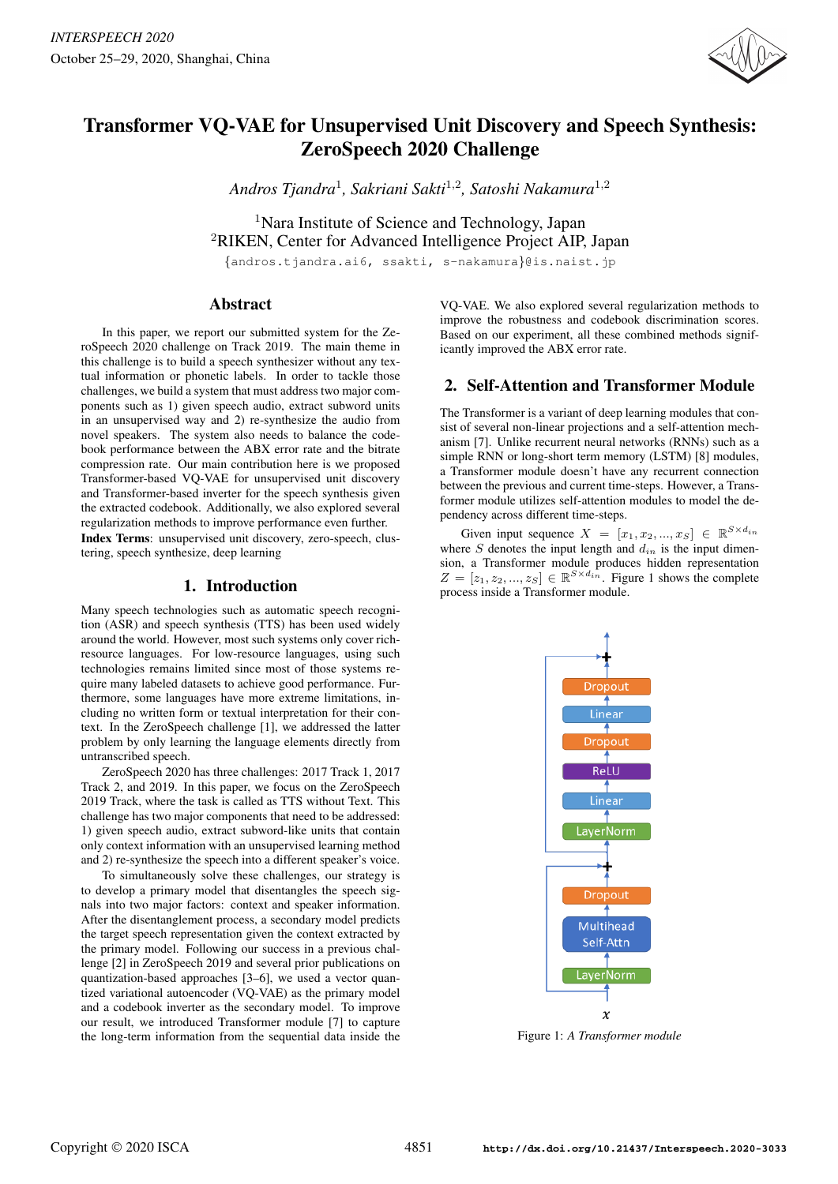

# Transformer VQ-VAE for Unsupervised Unit Discovery and Speech Synthesis: ZeroSpeech 2020 Challenge

*Andros Tjandra*<sup>1</sup> *, Sakriani Sakti*<sup>1</sup>,<sup>2</sup> *, Satoshi Nakamura*<sup>1</sup>,<sup>2</sup>

<sup>1</sup>Nara Institute of Science and Technology, Japan <sup>2</sup>RIKEN, Center for Advanced Intelligence Project AIP, Japan

{andros.tjandra.ai6, ssakti, s-nakamura}@is.naist.jp

# Abstract

In this paper, we report our submitted system for the ZeroSpeech 2020 challenge on Track 2019. The main theme in this challenge is to build a speech synthesizer without any textual information or phonetic labels. In order to tackle those challenges, we build a system that must address two major components such as 1) given speech audio, extract subword units in an unsupervised way and 2) re-synthesize the audio from novel speakers. The system also needs to balance the codebook performance between the ABX error rate and the bitrate compression rate. Our main contribution here is we proposed Transformer-based VQ-VAE for unsupervised unit discovery and Transformer-based inverter for the speech synthesis given the extracted codebook. Additionally, we also explored several regularization methods to improve performance even further.

Index Terms: unsupervised unit discovery, zero-speech, clustering, speech synthesize, deep learning

## 1. Introduction

Many speech technologies such as automatic speech recognition (ASR) and speech synthesis (TTS) has been used widely around the world. However, most such systems only cover richresource languages. For low-resource languages, using such technologies remains limited since most of those systems require many labeled datasets to achieve good performance. Furthermore, some languages have more extreme limitations, including no written form or textual interpretation for their context. In the ZeroSpeech challenge [1], we addressed the latter problem by only learning the language elements directly from untranscribed speech.

ZeroSpeech 2020 has three challenges: 2017 Track 1, 2017 Track 2, and 2019. In this paper, we focus on the ZeroSpeech 2019 Track, where the task is called as TTS without Text. This challenge has two major components that need to be addressed: 1) given speech audio, extract subword-like units that contain only context information with an unsupervised learning method and 2) re-synthesize the speech into a different speaker's voice.

To simultaneously solve these challenges, our strategy is to develop a primary model that disentangles the speech signals into two major factors: context and speaker information. After the disentanglement process, a secondary model predicts the target speech representation given the context extracted by the primary model. Following our success in a previous challenge [2] in ZeroSpeech 2019 and several prior publications on quantization-based approaches [3–6], we used a vector quantized variational autoencoder (VQ-VAE) as the primary model and a codebook inverter as the secondary model. To improve our result, we introduced Transformer module [7] to capture the long-term information from the sequential data inside the VQ-VAE. We also explored several regularization methods to improve the robustness and codebook discrimination scores. Based on our experiment, all these combined methods significantly improved the ABX error rate.

# 2. Self-Attention and Transformer Module

The Transformer is a variant of deep learning modules that consist of several non-linear projections and a self-attention mechanism [7]. Unlike recurrent neural networks (RNNs) such as a simple RNN or long-short term memory (LSTM) [8] modules, a Transformer module doesn't have any recurrent connection between the previous and current time-steps. However, a Transformer module utilizes self-attention modules to model the dependency across different time-steps.

Given input sequence  $X = [x_1, x_2, ..., x_S] \in \mathbb{R}^{S \times d_{in}}$ where  $S$  denotes the input length and  $d_{in}$  is the input dimension, a Transformer module produces hidden representation  $Z = [z_1, z_2, ..., z_S] \in \mathbb{R}^{S \times d_{in}}$ . Figure 1 shows the complete process inside a Transformer module.



Figure 1: *A Transformer module*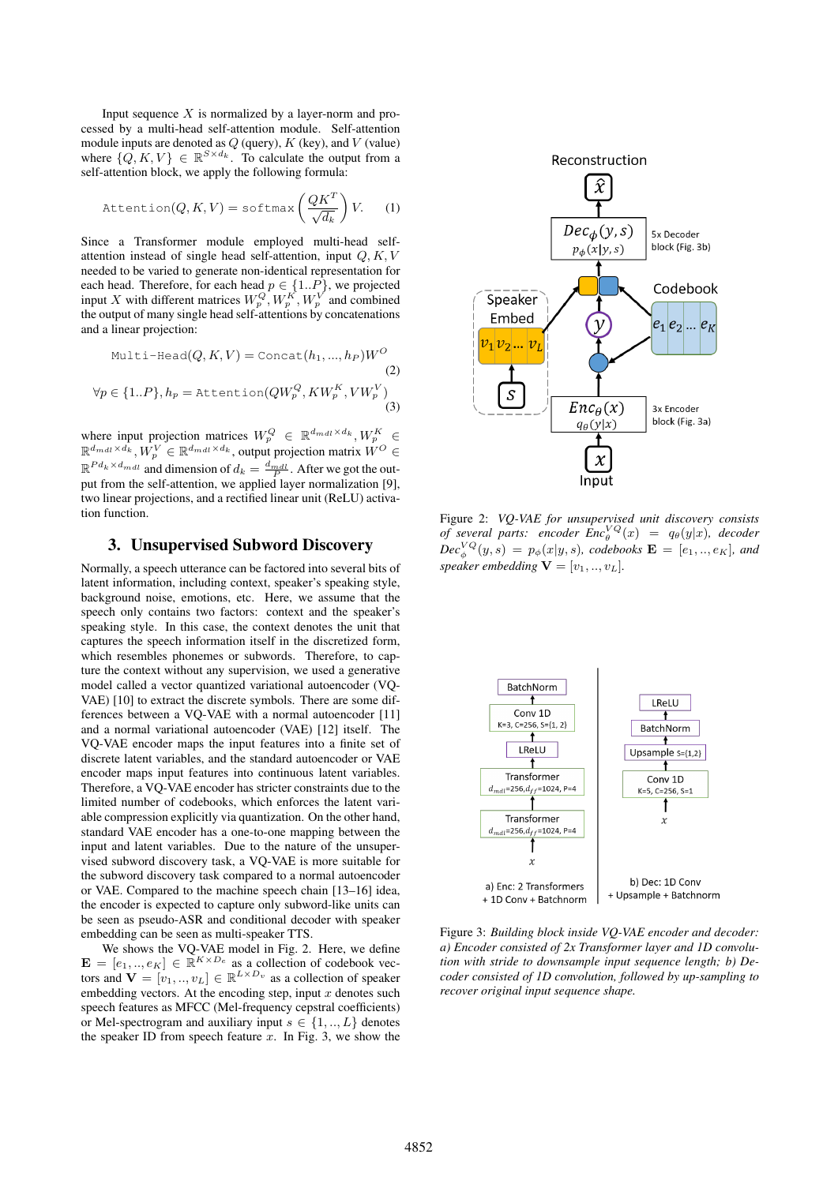Input sequence  $X$  is normalized by a layer-norm and processed by a multi-head self-attention module. Self-attention module inputs are denoted as  $Q$  (query),  $K$  (key), and  $V$  (value) where  $\{Q, K, V\} \in \mathbb{R}^{S \times d_k}$ . To calculate the output from a self-attention block, we apply the following formula:

$$
Attention(Q, K, V) = softmax\left(\frac{QK^{T}}{\sqrt{d_k}}\right)V.
$$
 (1)

Since a Transformer module employed multi-head selfattention instead of single head self-attention, input  $Q, K, V$ needed to be varied to generate non-identical representation for each head. Therefore, for each head  $p \in \{1..P\}$ , we projected input X with different matrices  $W_p^Q$ ,  $W_p^K$ ,  $W_p^V$  and combined the output of many single head self-attentions by concatenations and a linear projection:

$$
\text{Multi-Head}(Q, K, V) = \text{Concat}(h_1, ..., h_P)W^O \tag{2}
$$
\n
$$
\forall p \in \{1..P\}, h_p = \text{Attention}(QW_p^Q, KW_p^K, VW_p^V) \tag{3}
$$

where input projection matrices  $W_p^Q \in \mathbb{R}^{d_{mdl} \times d_k}, W_p^K \in$  $\mathbb{R}^{d_{mdl}\times d_k}, W_p^V \in \mathbb{R}^{d_{mdl}\times d_k}$ , output projection matrix  $W^O \in$  $\mathbb{R}^{Pd_k \times d_{mdl}}$  and dimension of  $d_k = \frac{d_{mdl}}{P}$ . After we got the output from the self-attention, we applied layer normalization [9], two linear projections, and a rectified linear unit (ReLU) activation function.

## 3. Unsupervised Subword Discovery

Normally, a speech utterance can be factored into several bits of latent information, including context, speaker's speaking style, background noise, emotions, etc. Here, we assume that the speech only contains two factors: context and the speaker's speaking style. In this case, the context denotes the unit that captures the speech information itself in the discretized form, which resembles phonemes or subwords. Therefore, to capture the context without any supervision, we used a generative model called a vector quantized variational autoencoder (VQ-VAE) [10] to extract the discrete symbols. There are some differences between a VQ-VAE with a normal autoencoder [11] and a normal variational autoencoder (VAE) [12] itself. The VQ-VAE encoder maps the input features into a finite set of discrete latent variables, and the standard autoencoder or VAE encoder maps input features into continuous latent variables. Therefore, a VQ-VAE encoder has stricter constraints due to the limited number of codebooks, which enforces the latent variable compression explicitly via quantization. On the other hand, standard VAE encoder has a one-to-one mapping between the input and latent variables. Due to the nature of the unsupervised subword discovery task, a VQ-VAE is more suitable for the subword discovery task compared to a normal autoencoder or VAE. Compared to the machine speech chain [13–16] idea, the encoder is expected to capture only subword-like units can be seen as pseudo-ASR and conditional decoder with speaker embedding can be seen as multi-speaker TTS.

We shows the VQ-VAE model in Fig. 2. Here, we define  $\mathbf{E} = [e_1, ..., e_K] \in \mathbb{R}^{K \times D_e}$  as a collection of codebook vectors and  $\mathbf{V} = [v_1, ..., v_L] \in \mathbb{R}^{L \times D_v}$  as a collection of speaker embedding vectors. At the encoding step, input  $x$  denotes such speech features as MFCC (Mel-frequency cepstral coefficients) or Mel-spectrogram and auxiliary input  $s \in \{1, ..., L\}$  denotes the speaker ID from speech feature  $x$ . In Fig. 3, we show the



Figure 2: *VQ-VAE for unsupervised unit discovery consists of several parts:* encoder  $Enc_{\theta}^{VQ}(x) = q_{\theta}(y|x)$ , decoder  $Dec_{\phi}^{VQ}(y,s) = p_{\phi}(x|y,s)$ , codebooks  $\mathbf{E} = [e_1,..,e_K]$ , and *speaker embedding*  $V = [v_1, ..., v_L]$ .



Figure 3: *Building block inside VQ-VAE encoder and decoder: a) Encoder consisted of 2x Transformer layer and 1D convolution with stride to downsample input sequence length; b) Decoder consisted of 1D convolution, followed by up-sampling to recover original input sequence shape.*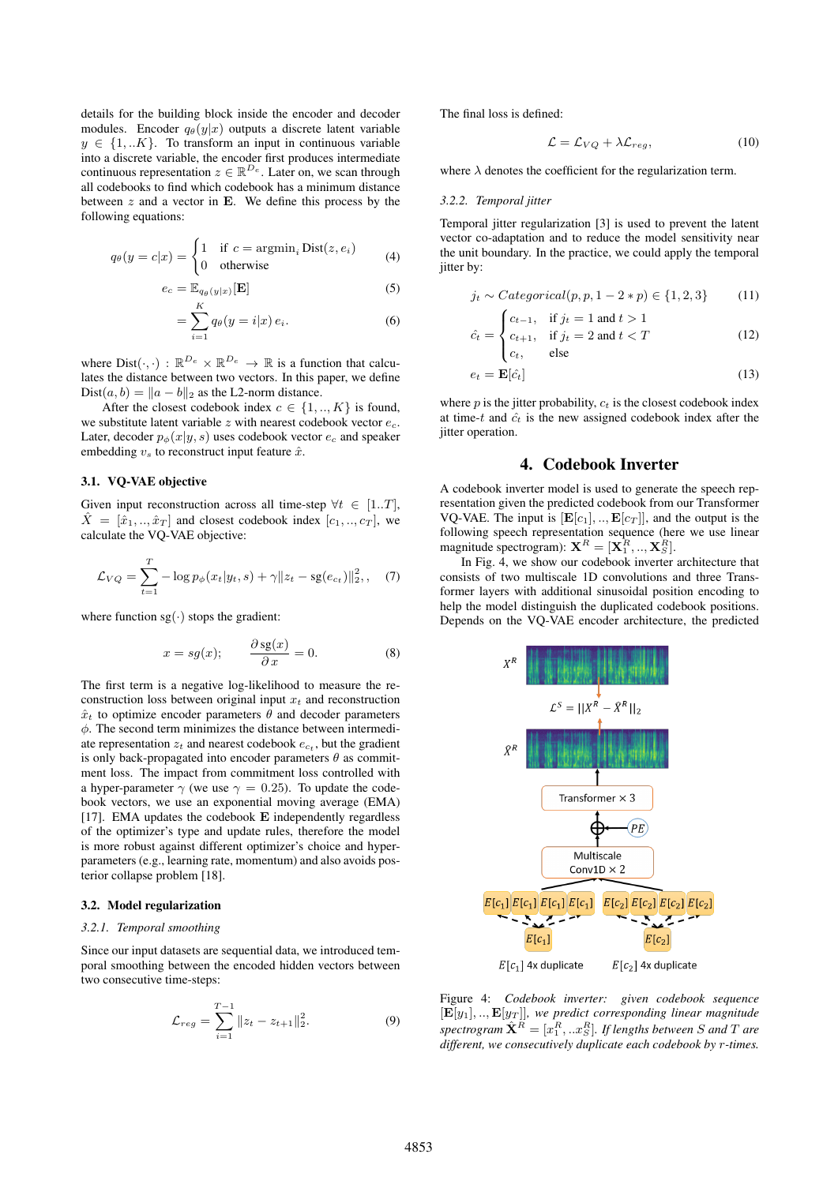details for the building block inside the encoder and decoder modules. Encoder  $q_{\theta}(y|x)$  outputs a discrete latent variable  $y \in \{1,..K\}$ . To transform an input in continuous variable into a discrete variable, the encoder first produces intermediate continuous representation  $z \in \mathbb{R}^{D_e}$ . Later on, we scan through all codebooks to find which codebook has a minimum distance between  $z$  and a vector in **E**. We define this process by the following equations:

$$
q_{\theta}(y = c|x) = \begin{cases} 1 & \text{if } c = \operatorname{argmin}_{i} \text{Dist}(z, e_{i}) \\ 0 & \text{otherwise} \end{cases}
$$
 (4)

$$
e_c = \mathbb{E}_{q_\theta(y|x)}[\mathbf{E}] \tag{5}
$$

$$
=\sum_{i=1}^{K}q_{\theta}(y=i|x)\,e_i.\tag{6}
$$

where  $Dist(\cdot, \cdot) : \mathbb{R}^{D_e} \times \mathbb{R}^{D_e} \to \mathbb{R}$  is a function that calculates the distance between two vectors. In this paper, we define Dist $(a, b) = ||a - b||_2$  as the L2-norm distance.

After the closest codebook index  $c \in \{1,..,K\}$  is found, we substitute latent variable  $z$  with nearest codebook vector  $e_c$ . Later, decoder  $p_{\phi}(x|y, s)$  uses codebook vector  $e_c$  and speaker embedding  $v_s$  to reconstruct input feature  $\hat{x}$ .

## 3.1. VQ-VAE objective

Given input reconstruction across all time-step  $\forall t \in [1..T]$ ,  $\hat{X} = [\hat{x}_1, ..., \hat{x}_T]$  and closest codebook index  $[c_1, ..., c_T]$ , we calculate the VQ-VAE objective:

$$
\mathcal{L}_{VQ} = \sum_{t=1}^{T} -\log p_{\phi}(x_t|y_t, s) + \gamma \|z_t - \text{sg}(e_{c_t})\|_2^2, \quad (7)
$$

where function  $sg(\cdot)$  stops the gradient:

$$
x = sg(x); \qquad \frac{\partial \,\text{sg}(x)}{\partial \,x} = 0. \tag{8}
$$

The first term is a negative log-likelihood to measure the reconstruction loss between original input  $x_t$  and reconstruction  $\hat{x}_t$  to optimize encoder parameters  $\theta$  and decoder parameters  $\phi$ . The second term minimizes the distance between intermediate representation  $z_t$  and nearest codebook  $e_{c_t}$ , but the gradient is only back-propagated into encoder parameters  $\theta$  as commitment loss. The impact from commitment loss controlled with a hyper-parameter  $\gamma$  (we use  $\gamma = 0.25$ ). To update the codebook vectors, we use an exponential moving average (EMA) [17]. EMA updates the codebook E independently regardless of the optimizer's type and update rules, therefore the model is more robust against different optimizer's choice and hyperparameters (e.g., learning rate, momentum) and also avoids posterior collapse problem [18].

#### 3.2. Model regularization

#### *3.2.1. Temporal smoothing*

Since our input datasets are sequential data, we introduced temporal smoothing between the encoded hidden vectors between two consecutive time-steps:

$$
\mathcal{L}_{reg} = \sum_{i=1}^{T-1} ||z_t - z_{t+1}||_2^2.
$$
 (9)

The final loss is defined:

$$
\mathcal{L} = \mathcal{L}_{VQ} + \lambda \mathcal{L}_{reg},\tag{10}
$$

where  $\lambda$  denotes the coefficient for the regularization term.

#### *3.2.2. Temporal jitter*

Temporal jitter regularization [3] is used to prevent the latent vector co-adaptation and to reduce the model sensitivity near the unit boundary. In the practice, we could apply the temporal jitter by:

$$
j_t \sim Categorical(p, p, 1 - 2*p) \in \{1, 2, 3\} \tag{11}
$$

$$
\hat{c}_t = \begin{cases} c_{t-1}, & \text{if } j_t = 1 \text{ and } t > 1 \\ c_{t+1}, & \text{if } j_t = 2 \text{ and } t < T \end{cases}
$$
(12)

$$
\begin{pmatrix}\n\cdot & \cdot & \cdot & \cdot \\
c_t, & \text{else}\n\end{pmatrix}
$$

$$
e_t = \mathbf{E}[\hat{c}_t]
$$
 (13)

where p is the jitter probability,  $c_t$  is the closest codebook index at time-t and  $\hat{c}_t$  is the new assigned codebook index after the jitter operation.

## 4. Codebook Inverter

A codebook inverter model is used to generate the speech representation given the predicted codebook from our Transformer VQ-VAE. The input is  $[\mathbf{E}[c_1], \dots, \mathbf{E}[c_T]]$ , and the output is the following speech representation sequence (here we use linear magnitude spectrogram):  $\mathbf{X}^R = [\mathbf{X}_1^R, ..., \mathbf{X}_S^R]$ .

In Fig. 4, we show our codebook inverter architecture that consists of two multiscale 1D convolutions and three Transformer layers with additional sinusoidal position encoding to help the model distinguish the duplicated codebook positions. Depends on the VQ-VAE encoder architecture, the predicted



Figure 4: *Codebook inverter: given codebook sequence*  $[\mathbf{E}[y_1],...,\mathbf{E}[y_T]]$ *, we predict corresponding linear magnitude*  $spectrogram \ \hat{\textbf{X}}^{R} = [x_{1}^{R},..x_{S}^{R}].$  If lengths between S and T are *different, we consecutively duplicate each codebook by* r*-times.*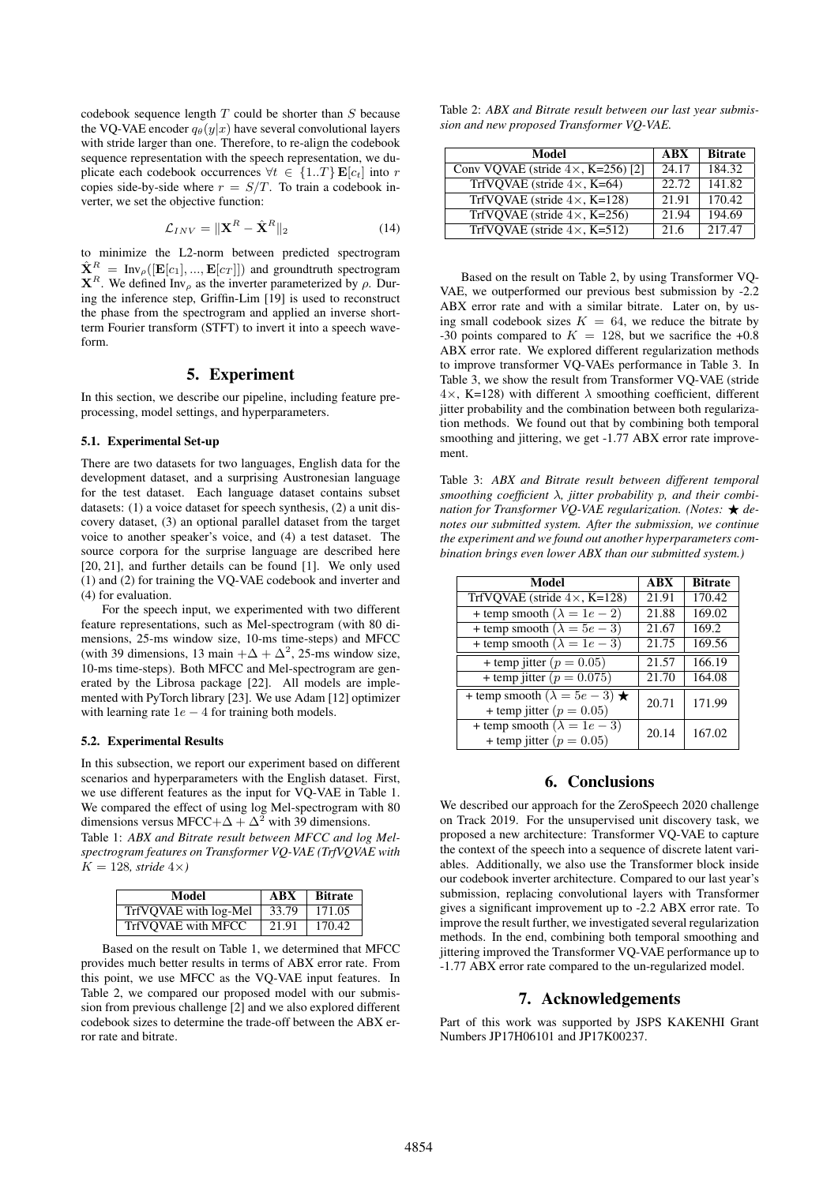codebook sequence length  $T$  could be shorter than  $S$  because the VQ-VAE encoder  $q_{\theta}(y|x)$  have several convolutional layers with stride larger than one. Therefore, to re-align the codebook sequence representation with the speech representation, we duplicate each codebook occurrences  $\forall t \in \{1..T\} \mathbf{E}[c_t]$  into r copies side-by-side where  $r = S/T$ . To train a codebook inverter, we set the objective function:

$$
\mathcal{L}_{INV} = \|\mathbf{X}^{R} - \hat{\mathbf{X}}^{R}\|_{2} \tag{14}
$$

to minimize the L2-norm between predicted spectrogram  $\hat{\mathbf{X}}^R = \text{Inv}_{\rho}([\mathbf{E}[c_1], ..., \mathbf{E}[c_T]])$  and groundtruth spectrogram  $X^R$ . We defined Inv<sub>ρ</sub> as the inverter parameterized by ρ. During the inference step, Griffin-Lim [19] is used to reconstruct the phase from the spectrogram and applied an inverse shortterm Fourier transform (STFT) to invert it into a speech waveform.

## 5. Experiment

In this section, we describe our pipeline, including feature preprocessing, model settings, and hyperparameters.

#### 5.1. Experimental Set-up

There are two datasets for two languages, English data for the development dataset, and a surprising Austronesian language for the test dataset. Each language dataset contains subset datasets: (1) a voice dataset for speech synthesis, (2) a unit discovery dataset, (3) an optional parallel dataset from the target voice to another speaker's voice, and (4) a test dataset. The source corpora for the surprise language are described here [20, 21], and further details can be found [1]. We only used (1) and (2) for training the VQ-VAE codebook and inverter and (4) for evaluation.

For the speech input, we experimented with two different feature representations, such as Mel-spectrogram (with 80 dimensions, 25-ms window size, 10-ms time-steps) and MFCC (with 39 dimensions, 13 main  $+\Delta + \Delta^2$ , 25-ms window size, 10-ms time-steps). Both MFCC and Mel-spectrogram are generated by the Librosa package [22]. All models are implemented with PyTorch library [23]. We use Adam [12] optimizer with learning rate  $1e - 4$  for training both models.

#### 5.2. Experimental Results

In this subsection, we report our experiment based on different scenarios and hyperparameters with the English dataset. First, we use different features as the input for VQ-VAE in Table 1. We compared the effect of using log Mel-spectrogram with 80 dimensions versus MFCC+ $\Delta + \Delta^2$  with 39 dimensions. Table 1: *ABX and Bitrate result between MFCC and log Melspectrogram features on Transformer VQ-VAE (TrfVQVAE with*  $K = 128$ *, stride*  $4 \times$ *)* 

| Model                 | <b>ABX</b> | <b>Bitrate</b> |
|-----------------------|------------|----------------|
| TrfVQVAE with log-Mel | 33.79      | 171.05         |
| TrfVOVAE with MFCC    | 21.91      | 170.42         |

Based on the result on Table 1, we determined that MFCC provides much better results in terms of ABX error rate. From this point, we use MFCC as the VQ-VAE input features. In Table 2, we compared our proposed model with our submission from previous challenge [2] and we also explored different codebook sizes to determine the trade-off between the ABX error rate and bitrate.

Table 2: *ABX and Bitrate result between our last year submission and new proposed Transformer VQ-VAE.*

| Model                                      | <b>ABX</b> | <b>Bitrate</b>      |
|--------------------------------------------|------------|---------------------|
| Conv VQVAE (stride $4 \times$ , K=256) [2] | 24.17      | 184.32              |
| TrfVOVAE (stride $4 \times$ , K=64)        | 22.72      | 141.82              |
| TrfVOVAE (stride $4 \times$ , K=128)       | 21.91      | 170.42              |
| TrfVQVAE (stride $4 \times$ , K=256)       | 21.94      | 194.69              |
| $TrfVQVAE$ (stride $4 \times$ , K=512)     | 21.6       | $\overline{2}17.47$ |

Based on the result on Table 2, by using Transformer VQ-VAE, we outperformed our previous best submission by -2.2 ABX error rate and with a similar bitrate. Later on, by using small codebook sizes  $K = 64$ , we reduce the bitrate by -30 points compared to  $K = 128$ , but we sacrifice the +0.8 ABX error rate. We explored different regularization methods to improve transformer VQ-VAEs performance in Table 3. In Table 3, we show the result from Transformer VQ-VAE (stride  $4\times$ , K=128) with different  $\lambda$  smoothing coefficient, different jitter probability and the combination between both regularization methods. We found out that by combining both temporal smoothing and jittering, we get -1.77 ABX error rate improvement.

Table 3: *ABX and Bitrate result between different temporal smoothing coefficient* λ*, jitter probability* p*, and their combination for Transformer VO-VAE regularization. (Notes:*  $\star$  *denotes our submitted system. After the submission, we continue the experiment and we found out another hyperparameters combination brings even lower ABX than our submitted system.)*

| Model                                                                    | ABX   | <b>Bitrate</b> |
|--------------------------------------------------------------------------|-------|----------------|
| TrfVQVAE (stride $4\times$ , K=128)                                      | 21.91 | 170.42         |
| + temp smooth $(\lambda = 1e - 2)$                                       | 21.88 | 169.02         |
| + temp smooth $(\lambda = 5e - 3)$                                       | 21.67 | 169.2          |
| + temp smooth $(\lambda = 1e - 3)$                                       | 21.75 | 169.56         |
| + temp jitter ( $p = 0.05$ )                                             | 21.57 | 166.19         |
| + temp jitter ( $p = 0.075$ )                                            | 21.70 | 164.08         |
| + temp smooth $(\lambda = 5e - 3) \star$<br>+ temp jitter ( $p = 0.05$ ) | 20.71 | 171.99         |
| + temp smooth $(\lambda = 1e - 3)$<br>+ temp jitter ( $p = 0.05$ )       | 20.14 | 167.02         |

# 6. Conclusions

We described our approach for the ZeroSpeech 2020 challenge on Track 2019. For the unsupervised unit discovery task, we proposed a new architecture: Transformer VQ-VAE to capture the context of the speech into a sequence of discrete latent variables. Additionally, we also use the Transformer block inside our codebook inverter architecture. Compared to our last year's submission, replacing convolutional layers with Transformer gives a significant improvement up to -2.2 ABX error rate. To improve the result further, we investigated several regularization methods. In the end, combining both temporal smoothing and jittering improved the Transformer VQ-VAE performance up to -1.77 ABX error rate compared to the un-regularized model.

## 7. Acknowledgements

Part of this work was supported by JSPS KAKENHI Grant Numbers JP17H06101 and JP17K00237.